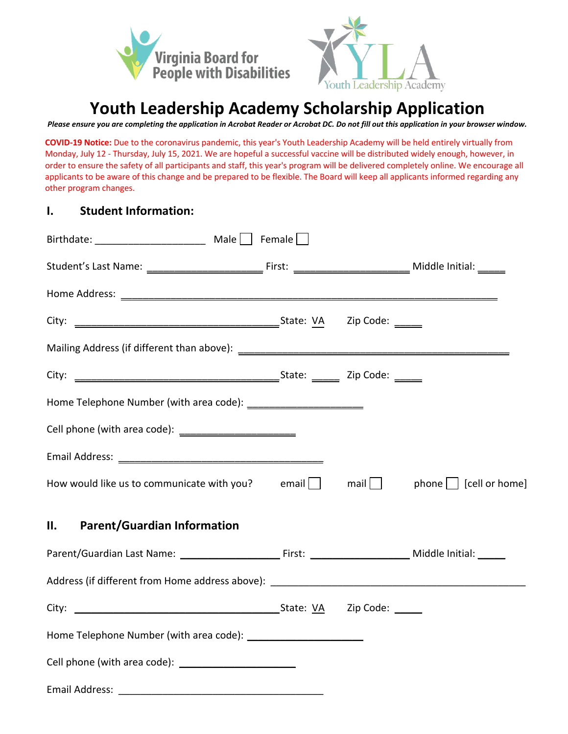



 *Please ensure you are completing the application in Acrobat Reader or Acrobat DC. Do not fill out this application in your browser window.* 

 Monday, July 12 - Thursday, July 15, 2021. We are hopeful a successful vaccine will be distributed widely enough, however, in order to ensure the safety of all participants and staff, this year's program will be delivered completely online. We encourage all **COVID-19 Notice:** Due to the coronavirus pandemic, this year's Youth Leadership Academy will be held entirely virtually from applicants to be aware of this change and be prepared to be flexible. The Board will keep all applicants informed regarding any other program changes.

#### **I. Student Information:**

| How would like us to communicate with you? email $\Box$ mail $\Box$ phone $\Box$ [cell or home] |  |  |
|-------------------------------------------------------------------------------------------------|--|--|
| <b>Parent/Guardian Information</b><br>II.                                                       |  |  |
|                                                                                                 |  |  |
|                                                                                                 |  |  |
|                                                                                                 |  |  |
|                                                                                                 |  |  |
|                                                                                                 |  |  |
|                                                                                                 |  |  |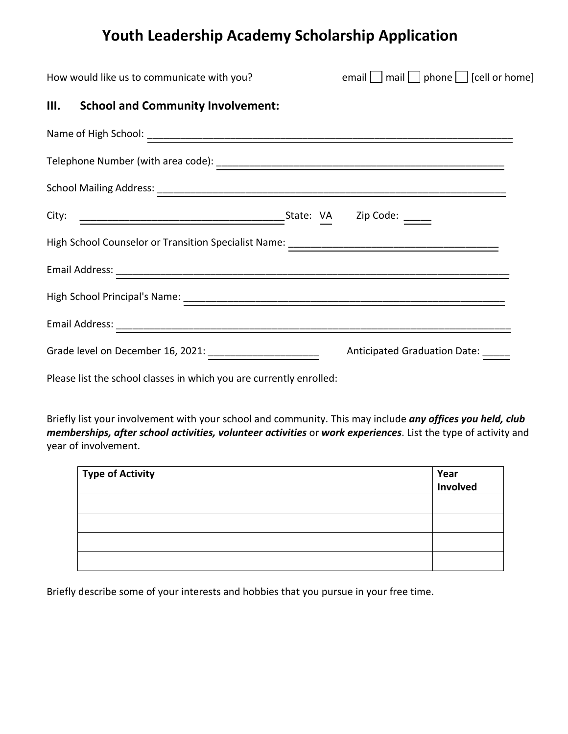| How would like us to communicate with you?                          | email $\Box$ mail $\Box$ phone $\Box$ [cell or home] |
|---------------------------------------------------------------------|------------------------------------------------------|
| III. School and Community Involvement:                              |                                                      |
|                                                                     |                                                      |
|                                                                     |                                                      |
|                                                                     |                                                      |
|                                                                     |                                                      |
|                                                                     |                                                      |
|                                                                     |                                                      |
|                                                                     |                                                      |
|                                                                     |                                                      |
| Grade level on December 16, 2021: ________________________          | Anticipated Graduation Date: _____                   |
| Please list the school classes in which you are currently enrolled: |                                                      |

 Briefly list your involvement with your school and community. This may include *any offices you held, club memberships, after school activities, volunteer activities* or *work experiences*. List the type of activity and year of involvement.

| <b>Type of Activity</b> | Year<br>  Involved |
|-------------------------|--------------------|
|                         |                    |
|                         |                    |
|                         |                    |
|                         |                    |

Briefly describe some of your interests and hobbies that you pursue in your free time.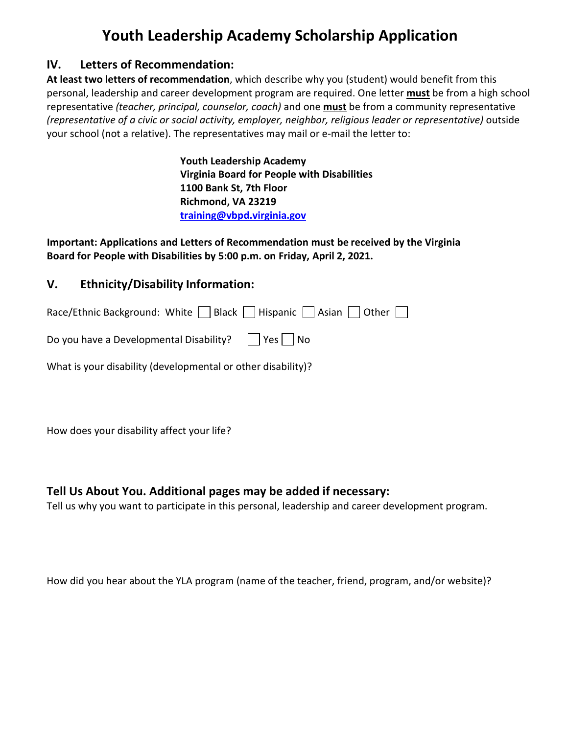#### **IV. Letters of Recommendation:**

**At least two letters of recommendation**, which describe why you (student) would benefit from this personal, leadership and career development program are required. One letter **must** be from a high school representative *(teacher, principal, counselor, coach)* and one **must** be from a community representative *(representative of a civic or social activity, employer, neighbor, religious leader or representative)* outside your school (not a relative). The representatives may mail or e-mail the letter to:

> **Youth Leadership Academy Virginia Board for People with Disabilities 1100 Bank St, 7th Floor Richmond, VA 23219 [training@vbpd.virginia.gov](mailto:training@vbpd.virginia.gov)**

 **Important: Applications and Letters of Recommendation must be received by the Virginia Board for People with Disabilities by 5:00 p.m. on Friday, April 2, 2021.** 

#### **V. Ethnicity/Disability Information:**

Race/Ethnic Background: White  $\bigsqcup$  Black  $\bigsqcup$  Hispanic  $\bigsqcup$  Asian  $\bigsqcup$  Other  $\bigsqcup$ 

| Do you have a Developmental Disability? $\Box$ Yes $\Box$ No |  |
|--------------------------------------------------------------|--|
|                                                              |  |

What is your disability (developmental or other disability)?

How does your disability affect your life?

#### **Tell Us About You. Additional pages may be added if necessary:**

Tell us why you want to participate in this personal, leadership and career development program.

How did you hear about the YLA program (name of the teacher, friend, program, and/or website)?